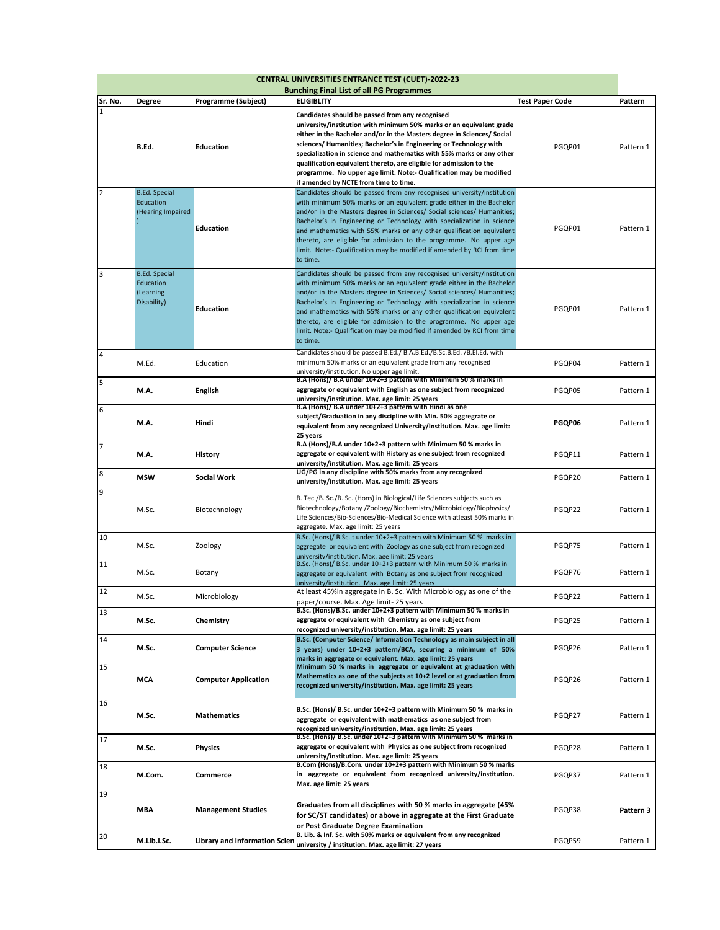| <b>CENTRAL UNIVERSITIES ENTRANCE TEST (CUET)-2022-23</b><br><b>Bunching Final List of all PG Programmes</b> |                                                               |                                      |                                                                                                                                                                                                                                                                                                                                                                                                                                                                                                                                          |                        |           |  |  |
|-------------------------------------------------------------------------------------------------------------|---------------------------------------------------------------|--------------------------------------|------------------------------------------------------------------------------------------------------------------------------------------------------------------------------------------------------------------------------------------------------------------------------------------------------------------------------------------------------------------------------------------------------------------------------------------------------------------------------------------------------------------------------------------|------------------------|-----------|--|--|
| Sr. No.                                                                                                     | Degree                                                        | Programme (Subject)                  | ELIGIBLITY                                                                                                                                                                                                                                                                                                                                                                                                                                                                                                                               | <b>Test Paper Code</b> | Pattern   |  |  |
| 1                                                                                                           | B.Ed.                                                         | <b>Education</b>                     | Candidates should be passed from any recognised<br>university/institution with minimum 50% marks or an equivalent grade<br>either in the Bachelor and/or in the Masters degree in Sciences/ Social<br>sciences/ Humanities; Bachelor's in Engineering or Technology with<br>specialization in science and mathematics with 55% marks or any other<br>qualification equivalent thereto, are eligible for admission to the<br>programme. No upper age limit. Note:- Qualification may be modified<br>if amended by NCTE from time to time. | PGQP01                 | Pattern 1 |  |  |
| $\overline{2}$                                                                                              | <b>B.Ed. Special</b><br>Education<br>(Hearing Impaired        | <b>Education</b>                     | Candidates should be passed from any recognised university/institution<br>with minimum 50% marks or an equivalent grade either in the Bachelor<br>and/or in the Masters degree in Sciences/ Social sciences/ Humanities;<br>Bachelor's in Engineering or Technology with specialization in science<br>and mathematics with 55% marks or any other qualification equivalent<br>thereto, are eligible for admission to the programme. No upper age<br>limit. Note:- Qualification may be modified if amended by RCI from time<br>to time.  | PGQP01                 | Pattern 1 |  |  |
| 3                                                                                                           | <b>B.Ed. Special</b><br>Education<br>(Learning<br>Disability) | Education                            | Candidates should be passed from any recognised university/institution<br>with minimum 50% marks or an equivalent grade either in the Bachelor<br>and/or in the Masters degree in Sciences/ Social sciences/ Humanities;<br>Bachelor's in Engineering or Technology with specialization in science<br>and mathematics with 55% marks or any other qualification equivalent<br>thereto, are eligible for admission to the programme. No upper age<br>limit. Note:- Qualification may be modified if amended by RCI from time<br>to time.  | PGQP01                 | Pattern 1 |  |  |
| $\overline{\mathbf{4}}$                                                                                     | M.Ed.                                                         | Education                            | Candidates should be passed B.Ed./ B.A.B.Ed./B.Sc.B.Ed. /B.El.Ed. with<br>minimum 50% marks or an equivalent grade from any recognised<br>university/institution. No upper age limit.                                                                                                                                                                                                                                                                                                                                                    | PGQP04                 | Pattern 1 |  |  |
| 5                                                                                                           | M.A.                                                          | <b>English</b>                       | B.A (Hons)/ B.A under 10+2+3 pattern with Minimum 50 % marks in<br>aggregate or equivalent with English as one subject from recognized<br>university/institution. Max. age limit: 25 years                                                                                                                                                                                                                                                                                                                                               | PGQP05                 | Pattern 1 |  |  |
| 6                                                                                                           | M.A.                                                          | Hindi                                | B.A (Hons)/ B.A under 10+2+3 pattern with Hindi as one<br>subject/Graduation in any discipline with Min. 50% aggregrate or<br>equivalent from any recognized University/Institution. Max. age limit:<br>25 years                                                                                                                                                                                                                                                                                                                         | PGQP06                 | Pattern 1 |  |  |
| $\overline{7}$                                                                                              | M.A.                                                          | <b>History</b>                       | B.A (Hons)/B.A under 10+2+3 pattern with Minimum 50 % marks in<br>aggregate or equivalent with History as one subject from recognized<br>university/institution. Max. age limit: 25 years                                                                                                                                                                                                                                                                                                                                                | PGQP11                 | Pattern 1 |  |  |
| 8                                                                                                           | <b>MSW</b>                                                    | <b>Social Work</b>                   | UG/PG in any discipline with 50% marks from any recognized<br>university/institution. Max. age limit: 25 years                                                                                                                                                                                                                                                                                                                                                                                                                           | PGQP20                 | Pattern 1 |  |  |
| 9                                                                                                           | M.Sc.                                                         | Biotechnology                        | B. Tec./B. Sc./B. Sc. (Hons) in Biological/Life Sciences subjects such as<br>Biotechnology/Botany /Zoology/Biochemistry/Microbiology/Biophysics/<br>Life Sciences/Bio-Sciences/Bio-Medical Science with atleast 50% marks in<br>aggregate. Max. age limit: 25 years                                                                                                                                                                                                                                                                      | PGQP22                 | Pattern 1 |  |  |
| 10                                                                                                          | M.Sc.                                                         | Zoology                              | B.Sc. (Hons)/ B.Sc. t under 10+2+3 pattern with Minimum 50 % marks in<br>aggregate or equivalent with Zoology as one subject from recognized<br>university/institution. Max. age limit: 25 years                                                                                                                                                                                                                                                                                                                                         | PGQP75                 | Pattern 1 |  |  |
| 11                                                                                                          | M.Sc.                                                         | Botany                               | B.Sc. (Hons)/ B.Sc. under 10+2+3 pattern with Minimum 50 % marks in<br>aggregate or equivalent with Botany as one subject from recognized<br>university/institution. Max. age limit: 25 years                                                                                                                                                                                                                                                                                                                                            | PGQP76                 | Pattern 1 |  |  |
| 12                                                                                                          | M.Sc.                                                         | Microbiology                         | At least 45%in aggregate in B. Sc. With Microbiology as one of the<br>paper/course. Max. Age limit- 25 years                                                                                                                                                                                                                                                                                                                                                                                                                             | PGQP22                 | Pattern 1 |  |  |
| 13                                                                                                          | M.Sc.                                                         | Chemistry                            | B.Sc. (Hons)/B.Sc. under 10+2+3 pattern with Minimum 50 % marks in<br>aggregate or equivalent with Chemistry as one subject from<br>recognized university/institution. Max. age limit: 25 years                                                                                                                                                                                                                                                                                                                                          | PGQP25                 | Pattern 1 |  |  |
| 14                                                                                                          | M.Sc.                                                         | <b>Computer Science</b>              | B.Sc. (Computer Science/ Information Technology as main subject in all<br>3 years) under 10+2+3 pattern/BCA, securing a minimum of 50%<br>marks in aggregate or equivalent. Max. age limit: 25 years                                                                                                                                                                                                                                                                                                                                     | PGQP26                 | Pattern 1 |  |  |
| 15                                                                                                          | MCA                                                           | <b>Computer Application</b>          | Minimum 50 % marks in aggregate or equivalent at graduation with<br>Mathematics as one of the subjects at 10+2 level or at graduation from<br>recognized university/institution. Max. age limit: 25 years                                                                                                                                                                                                                                                                                                                                | PGQP26                 | Pattern 1 |  |  |
| 16                                                                                                          | M.Sc.                                                         | <b>Mathematics</b>                   | B.Sc. (Hons)/ B.Sc. under 10+2+3 pattern with Minimum 50% marks in<br>aggregate or equivalent with mathematics as one subject from<br>recognized university/institution. Max. age limit: 25 years                                                                                                                                                                                                                                                                                                                                        | PGQP27                 | Pattern 1 |  |  |
| 17                                                                                                          | M.Sc.                                                         | <b>Physics</b>                       | B.Sc. (Hons)/ B.Sc. under 10+2+3 pattern with Minimum 50 % marks in<br>aggregate or equivalent with Physics as one subject from recognized<br>university/institution. Max. age limit: 25 years                                                                                                                                                                                                                                                                                                                                           | PGQP28                 | Pattern 1 |  |  |
| 18                                                                                                          | M.Com.                                                        | Commerce                             | B.Com (Hons)/B.Com. under 10+2+3 pattern with Minimum 50 % marks<br>in aggregate or equivalent from recognized university/institution.<br>Max. age limit: 25 years                                                                                                                                                                                                                                                                                                                                                                       | PGQP37                 | Pattern 1 |  |  |
| 19                                                                                                          | MBA                                                           | <b>Management Studies</b>            | Graduates from all disciplines with 50 % marks in aggregate (45%<br>for SC/ST candidates) or above in aggregate at the First Graduate<br>or Post Graduate Degree Examination                                                                                                                                                                                                                                                                                                                                                             | PGQP38                 | Pattern 3 |  |  |
| 20                                                                                                          | M.Lib.I.Sc.                                                   | <b>Library and Information Scien</b> | B. Lib. & Inf. Sc. with 50% marks or equivalent from any recognized<br>university / institution. Max. age limit: 27 years                                                                                                                                                                                                                                                                                                                                                                                                                | PGQP59                 | Pattern 1 |  |  |